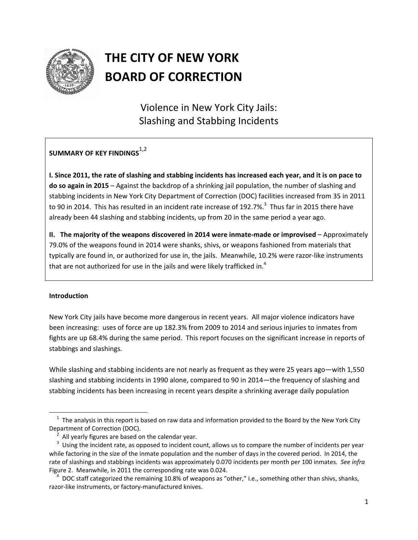

# **THE CITY OF NEW YORK BOARD OF CORRECTION**

Violence in New York City Jails: Slashing and Stabbing Incidents

## **SUMMARY OF KEY FINDINGS**1,2

I. Since 2011, the rate of slashing and stabbing incidents has increased each year, and it is on pace to **do so again in 2015** – Against the backdrop of a shrinking jail population, the number of slashing and stabbing incidents in New York City Department of Correction (DOC) facilities increased from 35 in 2011 to 90 in 2014. This has resulted in an incident rate increase of 192.7%.<sup>3</sup> Thus far in 2015 there have already been 44 slashing and stabbing incidents, up from 20 in the same period a year ago.

**II. The majority of the weapons discovered in 2014 were inmate‐made or improvised** – Approximately 79.0% of the weapons found in 2014 were shanks, shivs, or weapons fashioned from materials that typically are found in, or authorized for use in, the jails. Meanwhile, 10.2% were razor‐like instruments that are not authorized for use in the jails and were likely trafficked in.<sup>4</sup>

#### **Introduction**

New York City jails have become more dangerous in recent years. All major violence indicators have been increasing: uses of force are up 182.3% from 2009 to 2014 and serious injuries to inmates from fights are up 68.4% during the same period. This report focuses on the significant increase in reports of stabbings and slashings.

While slashing and stabbing incidents are not nearly as frequent as they were 25 years ago—with 1,550 slashing and stabbing incidents in 1990 alone, compared to 90 in 2014—the frequency of slashing and stabbing incidents has been increasing in recent years despite a shrinking average daily population

  $1$  The analysis in this report is based on raw data and information provided to the Board by the New York City Department of Correction (DOC).

<sup>2</sup> All yearly figures are based on the calendar year.

<sup>3</sup> Using the incident rate, as opposed to incident count, allows us to compare the number of incidents per year while factoring in the size of the inmate population and the number of days in the covered period. In 2014, the rate of slashings and stabbings incidents was approximately 0.070 incidents per month per 100 inmates. *See infra* Figure 2. Meanwhile, in 2011 the corresponding rate was 0.024.

<sup>4</sup> DOC staff categorized the remaining 10.8% of weapons as "other," i.e., something other than shivs, shanks, razor‐like instruments, or factory‐manufactured knives.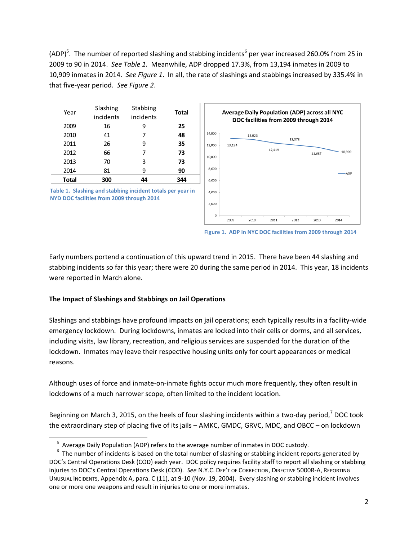(ADP)<sup>5</sup>. The number of reported slashing and stabbing incidents<sup>6</sup> per year increased 260.0% from 25 in 2009 to 90 in 2014. *See Table 1.* Meanwhile, ADP dropped 17.3%, from 13,194 inmates in 2009 to 10,909 inmates in 2014. *See Figure 1*. In all, the rate of slashings and stabbings increased by 335.4% in that five‐year period. *See Figure 2*.

| Year         | Slashing<br>incidents | Stabbing<br>incidents | Total |
|--------------|-----------------------|-----------------------|-------|
| 2009         | 16                    | ٩                     | 25    |
| 2010         | 41                    | 7                     | 48    |
| 2011         | 26                    | 9                     | 35    |
| 2012         | 66                    | 7                     | 73    |
| 2013         | 70                    | 3                     | 73    |
| 2014         | 81                    | 9                     | 90    |
| <b>Total</b> | 300                   | 44                    | 344   |





**Figure 1. ADP in NYC DOC facilities from 2009 through 2014**

Early numbers portend a continuation of this upward trend in 2015. There have been 44 slashing and stabbing incidents so far this year; there were 20 during the same period in 2014. This year, 18 incidents were reported in March alone.

#### **The Impact of Slashings and Stabbings on Jail Operations**

Slashings and stabbings have profound impacts on jail operations; each typically results in a facility‐wide emergency lockdown. During lockdowns, inmates are locked into their cells or dorms, and all services, including visits, law library, recreation, and religious services are suspended for the duration of the lockdown. Inmates may leave their respective housing units only for court appearances or medical reasons.

Although uses of force and inmate‐on‐inmate fights occur much more frequently, they often result in lockdowns of a much narrower scope, often limited to the incident location.

Beginning on March 3, 2015, on the heels of four slashing incidents within a two-day period, $7$  DOC took the extraordinary step of placing five of its jails – AMKC, GMDC, GRVC, MDC, and OBCC – on lockdown

<sup>5</sup> Average Daily Population (ADP) refers to the average number of inmates in DOC custody.

 $6$  The number of incidents is based on the total number of slashing or stabbing incident reports generated by DOC's Central Operations Desk (COD) each year. DOC policy requires facility staff to report all slashing or stabbing injuries to DOC's Central Operations Desk (COD). *See* N.Y.C. DEP'T OF CORRECTION, DIRECTIVE 5000R‐A, REPORTING UNUSUAL INCIDENTS, Appendix A, para. C (11), at 9‐10 (Nov. 19, 2004). Every slashing or stabbing incident involves one or more one weapons and result in injuries to one or more inmates.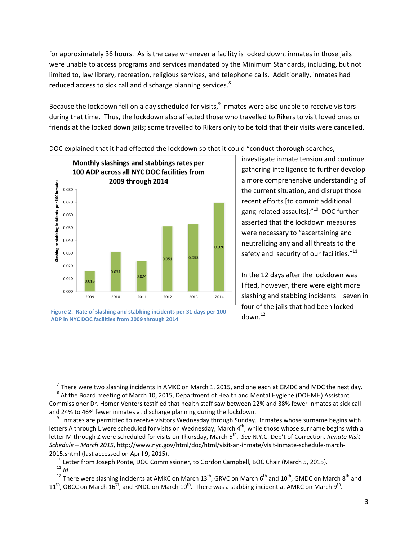for approximately 36 hours. As is the case whenever a facility is locked down, inmates in those jails were unable to access programs and services mandated by the Minimum Standards, including, but not limited to, law library, recreation, religious services, and telephone calls. Additionally, inmates had reduced access to sick call and discharge planning services. ${}^{8}$ 

Because the lockdown fell on a day scheduled for visits, $9$  inmates were also unable to receive visitors during that time. Thus, the lockdown also affected those who travelled to Rikers to visit loved ones or friends at the locked down jails; some travelled to Rikers only to be told that their visits were cancelled.



DOC explained that it had effected the lockdown so that it could "conduct thorough searches,

investigate inmate tension and continue gathering intelligence to further develop a more comprehensive understanding of the current situation, and disrupt those recent efforts [to commit additional gang‐related assaults]."<sup>10</sup> DOC further asserted that the lockdown measures were necessary to "ascertaining and neutralizing any and all threats to the safety and security of our facilities. $"^{11}$ 

In the 12 days after the lockdown was lifted, however, there were eight more slashing and stabbing incidents – seven in four of the jails that had been locked  $down<sup>12</sup>$ 

<u> 1989 - Johann Stoff, amerikansk politiker (d. 1989)</u>  $^7$  There were two slashing incidents in AMKC on March 1, 2015, and one each at GMDC and MDC the next day.

**Figure 2. Rate of slashing and stabbing incidents per 31 days per 100 ADP in NYC DOC facilities from 2009 through 2014**

<sup>&</sup>lt;sup>8</sup> At the Board meeting of March 10, 2015, Department of Health and Mental Hygiene (DOHMH) Assistant Commissioner Dr. Homer Venters testified that health staff saw between 22% and 38% fewer inmates at sick call and 24% to 46% fewer inmates at discharge planning during the lockdown.

<sup>&</sup>lt;sup>9</sup> Inmates are permitted to receive visitors Wednesday through Sunday. Inmates whose surname begins with letters A through L were scheduled for visits on Wednesday, March 4<sup>th</sup>, while those whose surname begins with a letter M through Z were scheduled for visits on Thursday, March 5th. *See* N.Y.C. Dep't of Correction*, Inmate Visit Schedule – March 2015*, http://www.nyc.gov/html/doc/html/visit‐an‐inmate/visit‐inmate‐schedule‐march‐ 2015.shtml (last accessed on April 9, 2015).

<sup>&</sup>lt;sup>10</sup> Letter from Joseph Ponte, DOC Commissioner, to Gordon Campbell, BOC Chair (March 5, 2015).  $11$  *Id.* 

<sup>&</sup>lt;sup>12</sup> There were slashing incidents at AMKC on March 13<sup>th</sup>, GRVC on March 6<sup>th</sup> and 10<sup>th</sup>, GMDC on March 8<sup>th</sup> and  $11^{th}$ , OBCC on March  $16^{th}$ , and RNDC on March  $10^{th}$ . There was a stabbing incident at AMKC on March 9<sup>th</sup>.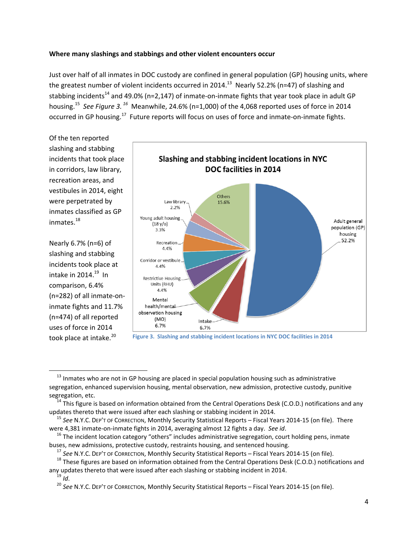#### **Where many slashings and stabbings and other violent encounters occur**

Just over half of all inmates in DOC custody are confined in general population (GP) housing units, where the greatest number of violent incidents occurred in 2014.<sup>13</sup> Nearly 52.2% (n=47) of slashing and stabbing incidents<sup>14</sup> and 49.0% (n=2,147) of inmate-on-inmate fights that year took place in adult GP housing.<sup>15</sup> *See Figure 3. <sup>16</sup>* Meanwhile, 24.6% (n=1,000) of the 4,068 reported uses of force in 2014 occurred in GP housing.<sup>17</sup> Future reports will focus on uses of force and inmate-on-inmate fights.

Of the ten reported slashing and stabbing incidents that took place in corridors, law library, recreation areas, and vestibules in 2014, eight were perpetrated by inmates classified as GP inmates.<sup>18</sup>

Nearly 6.7% (n=6) of slashing and stabbing incidents took place at intake in  $2014.<sup>19</sup>$  In comparison, 6.4% (n=282) of all inmate‐on‐ inmate fights and 11.7% (n=474) of all reported uses of force in 2014 took place at intake.<sup>20</sup>



**Figure 3. Slashing and stabbing incident locations in NYC DOC facilities in 2014**

<sup>&</sup>lt;sup>13</sup> Inmates who are not in GP housing are placed in special population housing such as administrative segregation, enhanced supervision housing, mental observation, new admission, protective custody, punitive segregation, etc.

 $14$  This figure is based on information obtained from the Central Operations Desk (C.O.D.) notifications and any updates thereto that were issued after each slashing or stabbing incident in 2014.

<sup>15</sup> *See* N.Y.C. DEP'T OF CORRECTION, Monthly Security Statistical Reports – Fiscal Years 2014‐15 (on file). There were 4,381 inmate‐on‐inmate fights in 2014, averaging almost 12 fights a day. *See id*.

 $16$  The incident location category "others" includes administrative segregation, court holding pens, inmate buses, new admissions, protective custody, restraints housing, and sentenced housing.

<sup>17</sup> *See* N.Y.C. DEP'T OF CORRECTION, Monthly Security Statistical Reports – Fiscal Years 2014‐15 (on file).

<sup>&</sup>lt;sup>18</sup> These figures are based on information obtained from the Central Operations Desk (C.O.D.) notifications and any updates thereto that were issued after each slashing or stabbing incident in 2014.

 $19$  *Id.* 

<sup>20</sup> *See* N.Y.C. DEP'T OF CORRECTION, Monthly Security Statistical Reports – Fiscal Years 2014‐15 (on file).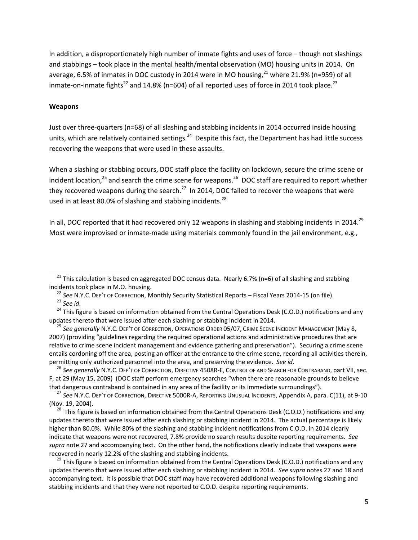In addition, a disproportionately high number of inmate fights and uses of force – though not slashings and stabbings – took place in the mental health/mental observation (MO) housing units in 2014. On average, 6.5% of inmates in DOC custody in 2014 were in MO housing,<sup>21</sup> where 21.9% (n=959) of all inmate-on-inmate fights<sup>22</sup> and 14.8% (n=604) of all reported uses of force in 2014 took place.<sup>23</sup>

#### **Weapons**

Just over three-quarters (n=68) of all slashing and stabbing incidents in 2014 occurred inside housing units, which are relatively contained settings.<sup>24</sup> Despite this fact, the Department has had little success recovering the weapons that were used in these assaults.

When a slashing or stabbing occurs, DOC staff place the facility on lockdown, secure the crime scene or incident location, $25$  and search the crime scene for weapons. $26$  DOC staff are required to report whether they recovered weapons during the search.<sup>27</sup> In 2014, DOC failed to recover the weapons that were used in at least 80.0% of slashing and stabbing incidents. $^{28}$ 

In all, DOC reported that it had recovered only 12 weapons in slashing and stabbing incidents in 2014.<sup>29</sup> Most were improvised or inmate‐made using materials commonly found in the jail environment, e.g.,

 <sup>25</sup> *See generally* N.Y.C. DEP'T OF CORRECTION, OPERATIONS ORDER 05/07, CRIME SCENE INCIDENT MANAGEMENT (May 8, 2007) (providing "guidelines regarding the required operational actions and administrative procedures that are relative to crime scene incident management and evidence gathering and preservation"). Securing a crime scene entails cordoning off the area, posting an officer at the entrance to the crime scene, recording all activities therein, permitting only authorized personnel into the area, and preserving the evidence. *See id*.

 <sup>26</sup> *See generally* N.Y.C. DEP'T OF CORRECTION, DIRECTIVE 4508R‐E, CONTROL OF AND SEARCH FOR CONTRABAND, part VII, sec. F, at 29 (May 15, 2009) (DOC staff perform emergency searches "when there are reasonable grounds to believe that dangerous contraband is contained in any area of the facility or its immediate surroundings").

<sup>28</sup> This figure is based on information obtained from the Central Operations Desk (C.O.D.) notifications and any updates thereto that were issued after each slashing or stabbing incident in 2014. The actual percentage is likely higher than 80.0%. While 80% of the slashing and stabbing incident notifications from C.O.D. in 2014 clearly indicate that weapons were not recovered, 7.8% provide no search results despite reporting requirements. *See supra* note 27 and accompanying text. On the other hand, the notifications clearly indicate that weapons were recovered in nearly 12.2% of the slashing and stabbing incidents.

<sup>29</sup> This figure is based on information obtained from the Central Operations Desk (C.O.D.) notifications and any updates thereto that were issued after each slashing or stabbing incident in 2014. *See supra* notes 27 and 18 and accompanying text. It is possible that DOC staff may have recovered additional weapons following slashing and stabbing incidents and that they were not reported to C.O.D. despite reporting requirements.

<sup>&</sup>lt;sup>21</sup> This calculation is based on aggregated DOC census data. Nearly 6.7% (n=6) of all slashing and stabbing incidents took place in M.O. housing.

<sup>22</sup> *See* N.Y.C. DEP'T OF CORRECTION, Monthly Security Statistical Reports – Fiscal Years 2014‐15 (on file). <sup>23</sup> *See id*.

<sup>&</sup>lt;sup>24</sup> This figure is based on information obtained from the Central Operations Desk (C.O.D.) notifications and any updates thereto that were issued after each slashing or stabbing incident in 2014.

<sup>27</sup> *See* N.Y.C. DEP'T OF CORRECTION, DIRECTIVE 5000R‐A, REPORTING UNUSUAL INCIDENTS, Appendix A, para. C(11), at 9‐10 (Nov. 19, 2004).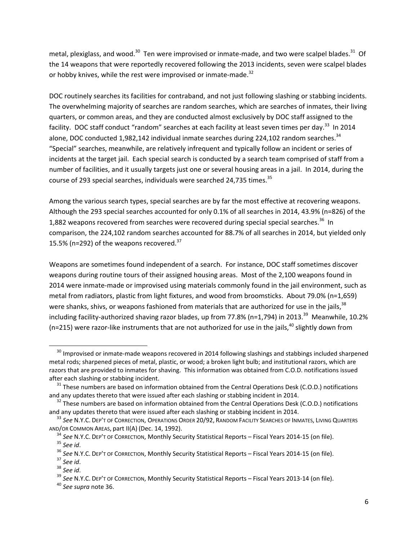metal, plexiglass, and wood.<sup>30</sup> Ten were improvised or inmate-made, and two were scalpel blades.<sup>31</sup> Of the 14 weapons that were reportedly recovered following the 2013 incidents, seven were scalpel blades or hobby knives, while the rest were improvised or inmate-made.<sup>32</sup>

DOC routinely searches its facilities for contraband, and not just following slashing or stabbing incidents. The overwhelming majority of searches are random searches, which are searches of inmates, their living quarters, or common areas, and they are conducted almost exclusively by DOC staff assigned to the facility. DOC staff conduct "random" searches at each facility at least seven times per day.<sup>33</sup> In 2014 alone, DOC conducted 1,982,142 individual inmate searches during 224,102 random searches. $34$ "Special" searches, meanwhile, are relatively infrequent and typically follow an incident or series of incidents at the target jail. Each special search is conducted by a search team comprised of staff from a number of facilities, and it usually targets just one or several housing areas in a jail. In 2014, during the course of 293 special searches, individuals were searched 24,735 times.<sup>35</sup>

Among the various search types, special searches are by far the most effective at recovering weapons. Although the 293 special searches accounted for only 0.1% of all searches in 2014, 43.9% (n=826) of the 1,882 weapons recovered from searches were recovered during special special searches.<sup>36</sup> In comparison, the 224,102 random searches accounted for 88.7% of all searches in 2014, but yielded only 15.5% (n=292) of the weapons recovered. $37$ 

Weapons are sometimes found independent of a search. For instance, DOC staff sometimes discover weapons during routine tours of their assigned housing areas. Most of the 2,100 weapons found in 2014 were inmate‐made or improvised using materials commonly found in the jail environment, such as metal from radiators, plastic from light fixtures, and wood from broomsticks. About 79.0% (n=1,659) were shanks, shivs, or weapons fashioned from materials that are authorized for use in the jails,<sup>38</sup> including facility-authorized shaving razor blades, up from 77.8% (n=1,794) in 2013.<sup>39</sup> Meanwhile, 10.2% (n=215) were razor-like instruments that are not authorized for use in the jails, <sup>40</sup> slightly down from

<sup>&</sup>lt;sup>30</sup> Improvised or inmate-made weapons recovered in 2014 following slashings and stabbings included sharpened metal rods; sharpened pieces of metal, plastic, or wood; a broken light bulb; and institutional razors, which are razors that are provided to inmates for shaving. This information was obtained from C.O.D. notifications issued after each slashing or stabbing incident.

 $31$  These numbers are based on information obtained from the Central Operations Desk (C.O.D.) notifications and any updates thereto that were issued after each slashing or stabbing incident in 2014.

<sup>&</sup>lt;sup>32</sup> These numbers are based on information obtained from the Central Operations Desk (C.O.D.) notifications and any updates thereto that were issued after each slashing or stabbing incident in 2014.

<sup>33</sup> *See* N.Y.C. DEP'T OF CORRECTION, OPERATIONS ORDER 20/92, RANDOM FACILITY SEARCHES OF INMATES, LIVING QUARTERS AND/OR COMMON AREAS, part II(A) (Dec. 14, 1992).

<sup>34</sup> *See* N.Y.C. DEP'T OF CORRECTION, Monthly Security Statistical Reports – Fiscal Years 2014‐15 (on file). <sup>35</sup> *See id*.

<sup>36</sup> *See* N.Y.C. DEP'T OF CORRECTION, Monthly Security Statistical Reports – Fiscal Years 2014‐15 (on file).

<sup>37</sup> *See id*.

<sup>38</sup> *See id*.

<sup>&</sup>lt;sup>39</sup> See N.Y.C. Dep't of Correction, Monthly Security Statistical Reports – Fiscal Years 2013-14 (on file).

<sup>40</sup> *See supra* note 36.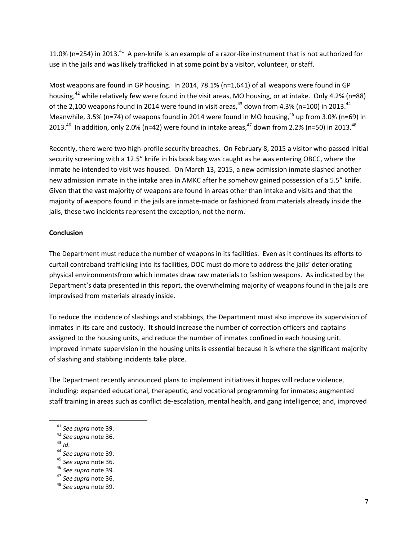11.0% (n=254) in 2013.<sup>41</sup> A pen-knife is an example of a razor-like instrument that is not authorized for use in the jails and was likely trafficked in at some point by a visitor, volunteer, or staff.

Most weapons are found in GP housing. In 2014, 78.1% (n=1,641) of all weapons were found in GP housing,<sup>42</sup> while relatively few were found in the visit areas, MO housing, or at intake. Only 4.2% (n=88) of the 2,100 weapons found in 2014 were found in visit areas,  $43$  down from 4.3% (n=100) in 2013.  $44$ Meanwhile, 3.5% (n=74) of weapons found in 2014 were found in MO housing,  $45$  up from 3.0% (n=69) in 2013.<sup>46</sup> In addition, only 2.0% (n=42) were found in intake areas,  $47$  down from 2.2% (n=50) in 2013.<sup>48</sup>

Recently, there were two high-profile security breaches. On February 8, 2015 a visitor who passed initial security screening with a 12.5" knife in his book bag was caught as he was entering OBCC, where the inmate he intended to visit was housed. On March 13, 2015, a new admission inmate slashed another new admission inmate in the intake area in AMKC after he somehow gained possession of a 5.5" knife. Given that the vast majority of weapons are found in areas other than intake and visits and that the majority of weapons found in the jails are inmate‐made or fashioned from materials already inside the jails, these two incidents represent the exception, not the norm.

### **Conclusion**

The Department must reduce the number of weapons in its facilities. Even as it continues its efforts to curtail contraband trafficking into its facilities, DOC must do more to address the jails' deteriorating physical environmentsfrom which inmates draw raw materials to fashion weapons. As indicated by the Department's data presented in this report, the overwhelming majority of weapons found in the jails are improvised from materials already inside.

To reduce the incidence of slashings and stabbings, the Department must also improve its supervision of inmates in its care and custody. It should increase the number of correction officers and captains assigned to the housing units, and reduce the number of inmates confined in each housing unit. Improved inmate supervision in the housing units is essential because it is where the significant majority of slashing and stabbing incidents take place.

The Department recently announced plans to implement initiatives it hopes will reduce violence, including: expanded educational, therapeutic, and vocational programming for inmates; augmented staff training in areas such as conflict de‐escalation, mental health, and gang intelligence; and, improved

<sup>43</sup> *Id*.

<sup>47</sup> *See supra* note 36.

<sup>41</sup> *See supra* note 39.

<sup>42</sup> *See supra* note 36.

<sup>44</sup> *See supra* note 39.

<sup>45</sup> *See supra* note 36.

<sup>46</sup> *See supra* note 39.

<sup>48</sup> *See supra* note 39.